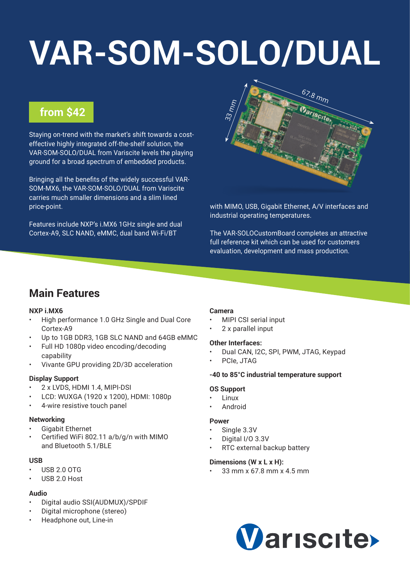# **[VAR-SOM-SOLO/DUAL](https://www.variscite.com/product/system-on-module-som/cortex-a9/var-som-solo-cpu-nxp-imx6)**

# **from \$42**

Staying on-trend with the market's shift towards a costeffective highly integrated off-the-shelf solution, the VAR-SOM-SOLO/DUAL from Variscite levels the playing ground for a broad spectrum of embedded products.

Bringing all the benefits of the widely successful VAR-SOM-MX6, the VAR-SOM-SOLO/DUAL from Variscite carries much smaller dimensions and a slim lined price-point.

Features include NXP's i.MX6 1GHz single and dual Cortex-A9, SLC NAND, eMMC, dual band Wi-Fi/BT



with MIMO, USB, Gigabit Ethernet, A/V interfaces and industrial operating temperatures.

The VAR-SOLOCustomBoard completes an attractive full reference kit which can be used for customers evaluation, development and mass production.

# **Main Features**

## **NXP i.MX6**

- High performance 1.0 GHz Single and Dual Core Cortex-A9
- Up to 1GB DDR3, 1GB SLC NAND and 64GB eMMC
- Full HD 1080p video encoding/decoding capability
- Vivante GPU providing 2D/3D acceleration

## **Display Support**

- 2 x LVDS, HDMI 1.4, MIPI-DSI
- LCD: WUXGA (1920 x 1200), HDMI: 1080p
- 4-wire resistive touch panel

## **Networking**

- Gigabit Ethernet
- Certified WiFi 802.11 a/b/g/n with MIMO and Bluetooth 5.1/BLE

## **USB**

- USB 2.0 OTG
- USB 2.0 Host

## **Audio**

- Digital audio SSI(AUDMUX)/SPDIF
- Digital microphone (stereo)
- Headphone out, Line-in

## **Camera**

- MIPI CSI serial input
- 2 x parallel input

## **Other Interfaces:**

- Dual CAN, I2C, SPI, PWM, JTAG, Keypad
- PCIe, JTAG

## **-40 to 85°C industrial temperature support**

## **OS Support**

- Linux
- Android

## **Power**

- Single 3.3V
- Digital I/O 3.3V
- RTC external backup battery

## **Dimensions (W x L x H):**

• 33 mm x 67.8 mm x 4.5 mm